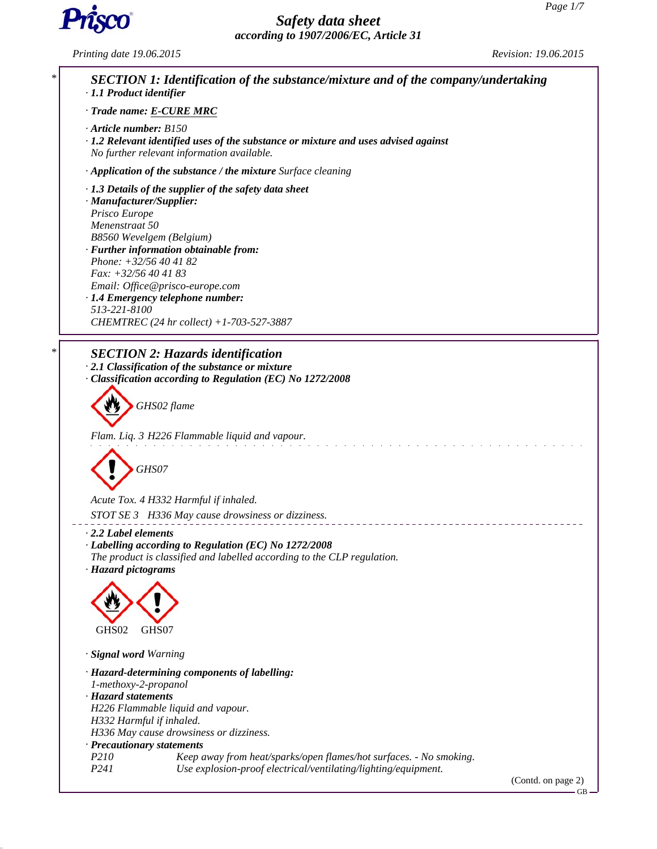GB



# *Safety data sheet according to 1907/2006/EC, Article 31*

*Printing date 19.06.2015 Revision: 19.06.2015*

*\* SECTION 1: Identification of the substance/mixture and of the company/undertaking · 1.1 Product identifier · Trade name: E-CURE MRC · Article number: B150 · 1.2 Relevant identified uses of the substance or mixture and uses advised against No further relevant information available. · Application of the substance / the mixture Surface cleaning · 1.3 Details of the supplier of the safety data sheet · Manufacturer/Supplier: Prisco Europe Menenstraat 50 B8560 Wevelgem (Belgium) · Further information obtainable from: Phone: +32/56 40 41 82 Fax: +32/56 40 41 83 Email: Office@prisco-europe.com · 1.4 Emergency telephone number: 513-221-8100 CHEMTREC (24 hr collect) +1-703-527-3887 \* SECTION 2: Hazards identification · 2.1 Classification of the substance or mixture · Classification according to Regulation (EC) No 1272/2008 GHS02 flame Flam. Liq. 3 H226 Flammable liquid and vapour.* a di serang lang *GHS07 Acute Tox. 4 H332 Harmful if inhaled. STOT SE 3 H336 May cause drowsiness or dizziness.* \_\_\_\_\_\_\_\_\_\_\_\_\_\_\_\_\_\_\_\_\_ *· 2.2 Label elements · Labelling according to Regulation (EC) No 1272/2008 The product is classified and labelled according to the CLP regulation. · Hazard pictograms* GHS02 GHS07 *· Signal word Warning · Hazard-determining components of labelling: 1-methoxy-2-propanol · Hazard statements H226 Flammable liquid and vapour. H332 Harmful if inhaled. H336 May cause drowsiness or dizziness. · Precautionary statements P210 Keep away from heat/sparks/open flames/hot surfaces. - No smoking. P241 Use explosion-proof electrical/ventilating/lighting/equipment.* (Contd. on page 2)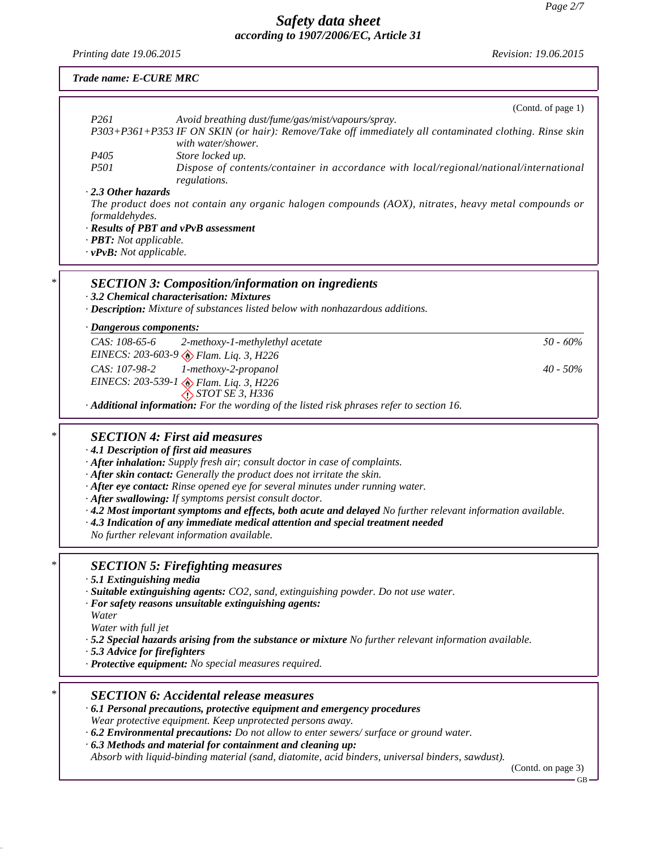*Printing date 19.06.2015 Revision: 19.06.2015*

|   | Trade name: E-CURE MRC                                                                                                                                                                                                                                                                                                                                                                                                                                                                                                                                                                                                                         |  |
|---|------------------------------------------------------------------------------------------------------------------------------------------------------------------------------------------------------------------------------------------------------------------------------------------------------------------------------------------------------------------------------------------------------------------------------------------------------------------------------------------------------------------------------------------------------------------------------------------------------------------------------------------------|--|
|   | (Contd. of page 1)                                                                                                                                                                                                                                                                                                                                                                                                                                                                                                                                                                                                                             |  |
|   | P <sub>261</sub><br>Avoid breathing dust/fume/gas/mist/vapours/spray.<br>P303+P361+P353 IF ON SKIN (or hair): Remove/Take off immediately all contaminated clothing. Rinse skin<br>with water/shower.                                                                                                                                                                                                                                                                                                                                                                                                                                          |  |
|   | P <sub>405</sub><br>Store locked up.<br><i>P501</i><br>Dispose of contents/container in accordance with local/regional/national/international<br>regulations.                                                                                                                                                                                                                                                                                                                                                                                                                                                                                  |  |
|   | 2.3 Other hazards<br>The product does not contain any organic halogen compounds (AOX), nitrates, heavy metal compounds or<br>formaldehydes.<br>· Results of PBT and vPvB assessment<br>· PBT: Not applicable.<br>· vPvB: Not applicable.                                                                                                                                                                                                                                                                                                                                                                                                       |  |
| * | <b>SECTION 3: Composition/information on ingredients</b><br>3.2 Chemical characterisation: Mixtures<br>· Description: Mixture of substances listed below with nonhazardous additions.                                                                                                                                                                                                                                                                                                                                                                                                                                                          |  |
|   | · Dangerous components:<br>CAS: 108-65-6<br>$50 - 60\%$<br>2-methoxy-1-methylethyl acetate                                                                                                                                                                                                                                                                                                                                                                                                                                                                                                                                                     |  |
|   | EINECS: 203-603-9 & Flam. Liq. 3, H226<br>CAS: 107-98-2<br>1-methoxy-2-propanol<br>$40 - 50\%$<br>EINECS: 203-539-1 > Flam. Liq. 3, H226<br>$\bigcirc$ STOT SE 3, H336                                                                                                                                                                                                                                                                                                                                                                                                                                                                         |  |
|   | Additional information: For the wording of the listed risk phrases refer to section 16.                                                                                                                                                                                                                                                                                                                                                                                                                                                                                                                                                        |  |
| * | <b>SECTION 4: First aid measures</b><br>· 4.1 Description of first aid measures<br>· After inhalation: Supply fresh air; consult doctor in case of complaints.<br>· After skin contact: Generally the product does not irritate the skin.<br>· After eye contact: Rinse opened eye for several minutes under running water.<br>· After swallowing: If symptoms persist consult doctor.<br>$\cdot$ 4.2 Most important symptoms and effects, both acute and delayed No further relevant information available.<br>· 4.3 Indication of any immediate medical attention and special treatment needed<br>No further relevant information available. |  |
| * | <b>SECTION 5: Firefighting measures</b><br>$\cdot$ 5.1 Extinguishing media<br>· Suitable extinguishing agents: CO2, sand, extinguishing powder. Do not use water.<br>· For safety reasons unsuitable extinguishing agents:<br>Water<br>Water with full jet<br>$\cdot$ 5.2 Special hazards arising from the substance or mixture No further relevant information available.<br>5.3 Advice for firefighters<br>· Protective equipment: No special measures required.                                                                                                                                                                             |  |
|   | <b>SECTION 6: Accidental release measures</b><br>$\cdot$ 6.1 Personal precautions, protective equipment and emergency procedures<br>Wear protective equipment. Keep unprotected persons away.<br>$\cdot$ 6.2 Environmental precautions: Do not allow to enter sewers/ surface or ground water.<br>$\cdot$ 6.3 Methods and material for containment and cleaning up:<br>Absorb with liquid-binding material (sand, diatomite, acid binders, universal binders, sawdust).<br>(Contd. on page 3)                                                                                                                                                  |  |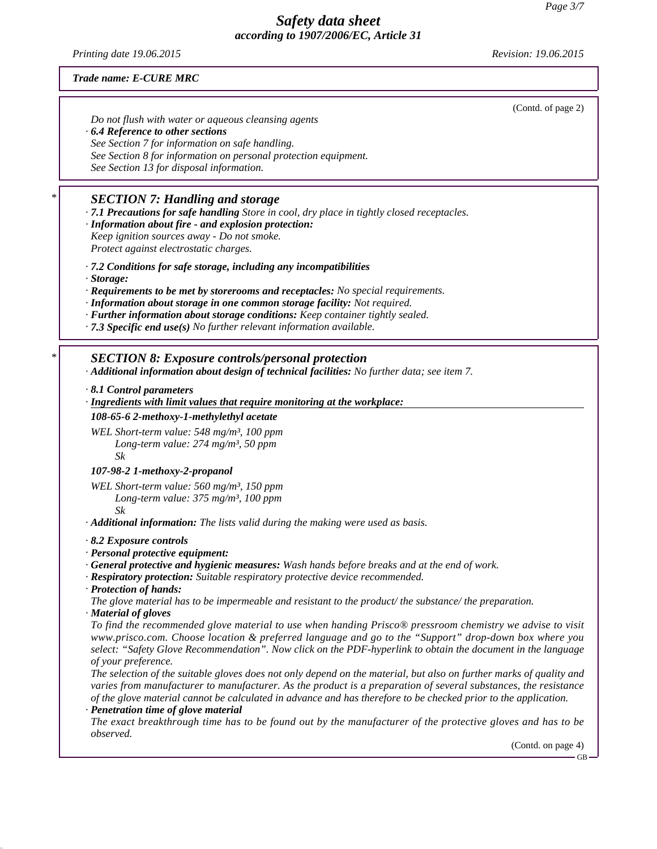*Printing date 19.06.2015 Revision: 19.06.2015*

#### *Trade name: E-CURE MRC*

*Do not flush with water or aqueous cleansing agents · 6.4 Reference to other sections See Section 7 for information on safe handling. See Section 8 for information on personal protection equipment. See Section 13 for disposal information.*

# *\* SECTION 7: Handling and storage*

*· 7.1 Precautions for safe handling Store in cool, dry place in tightly closed receptacles.*

- *· Information about fire and explosion protection: Keep ignition sources away - Do not smoke. Protect against electrostatic charges.*
- *· 7.2 Conditions for safe storage, including any incompatibilities*
- *· Storage:*
- *· Requirements to be met by storerooms and receptacles: No special requirements.*
- *· Information about storage in one common storage facility: Not required.*
- *· Further information about storage conditions: Keep container tightly sealed.*
- *· 7.3 Specific end use(s) No further relevant information available.*

## *\* SECTION 8: Exposure controls/personal protection*

*· Additional information about design of technical facilities: No further data; see item 7.*

*· 8.1 Control parameters*

*· Ing redients with limit values that require monitoring at the workplace:*

#### *108-65-6 2-methoxy-1-methylethyl acetate*

*WEL Short-term value: 548 mg/m³, 100 ppm Long-term value: 274 mg/m³, 50 ppm Sk*

#### *107-98-2 1-methoxy-2-propanol*

*WEL Short-term value: 560 mg/m³, 150 ppm Long-term value: 375 mg/m³, 100 ppm Sk*

*· Additional information: The lists valid during the making were used as basis.*

#### *· 8.2 Exposure controls*

- *· Personal protective equipment:*
- *· General protective and hygienic measures: Wash hands before breaks and at the end of work.*
- *· Respiratory protection: Suitable respiratory protective device recommended.*
- *· Protection of hands:*

*The glove material has to be impermeable and resistant to the product/ the substance/ the preparation.*

*· Material of gloves*

*To find the recommended glove material to use when handing Prisco® pressroom chemistry we advise to visit www.prisco.com. Choose location & preferred language and go to the "Support" drop-down box where you select: "Safety Glove Recommendation". Now click on the PDF-hyperlink to obtain the document in the language of your preference.*

*The selection of the suitable gloves does not only depend on the material, but also on further marks of quality and varies from manufacturer to manufacturer. As the product is a preparation of several substances, the resistance of the glove material cannot be calculated in advance and has therefore to be checked prior to the application. · Penetration time of glove material*

*The exact breakthrough time has to be found out by the manufacturer of the protective gloves and has to be observed.*

(Contd. on page 4)

(Contd. of page 2)

GB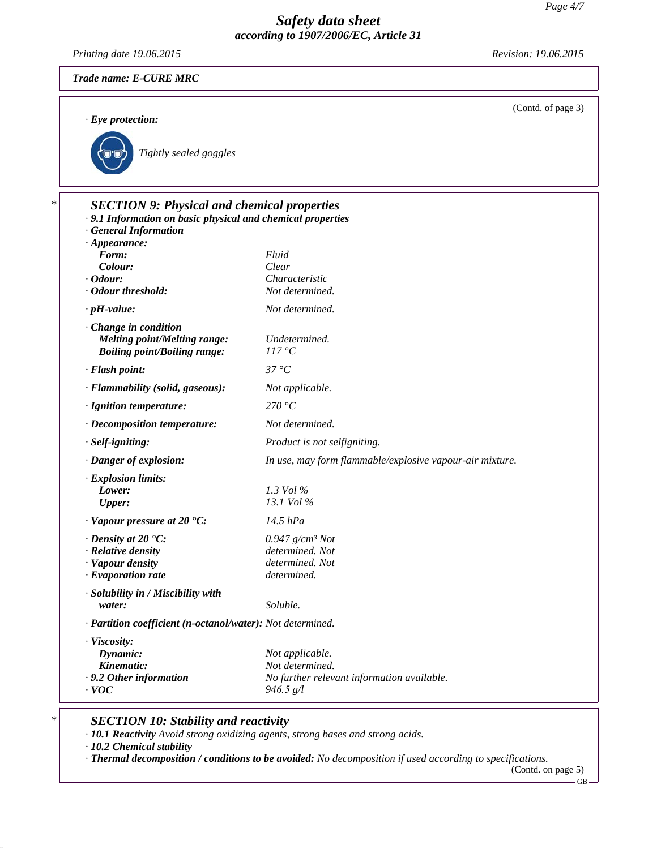*Printing date 19.06.2015 Revision: 19.06.2015*

(Contd. of page 3)

*· Eye protection:*



| Fluid<br>Clear<br>Characteristic<br>Not determined.<br>Not determined. |
|------------------------------------------------------------------------|
|                                                                        |
|                                                                        |
|                                                                        |
|                                                                        |
|                                                                        |
|                                                                        |
| Undetermined.                                                          |
| 117 °C                                                                 |
| $37^{\circ}C$                                                          |
| Not applicable.                                                        |
| 270 °C                                                                 |
| Not determined.                                                        |
| Product is not selfigniting.                                           |
| In use, may form flammable/explosive vapour-air mixture.               |
|                                                                        |
| 1.3 Vol %                                                              |
| 13.1 Vol %                                                             |
| 14.5 hPa                                                               |
| $0.947$ g/cm <sup>3</sup> Not                                          |
| determined. Not                                                        |
| determined. Not                                                        |
| determined.                                                            |
|                                                                        |
| Soluble.                                                               |
| · Partition coefficient (n-octanol/water): Not determined.             |
|                                                                        |
| Not applicable.                                                        |
| Not determined.                                                        |
| No further relevant information available.<br>946.5 g/l                |
|                                                                        |

# *\* SECTION 10: Stability and reactivity*

*· 10.1 Reactivity Avoid strong oxidizing agents, strong bases and strong acids.*

*· 10.2 Chemical stability*

*· Thermal decomposition / conditions to be avoided: No decomposition if used according to specifications.*

(Contd. on page 5)

 $-GB -$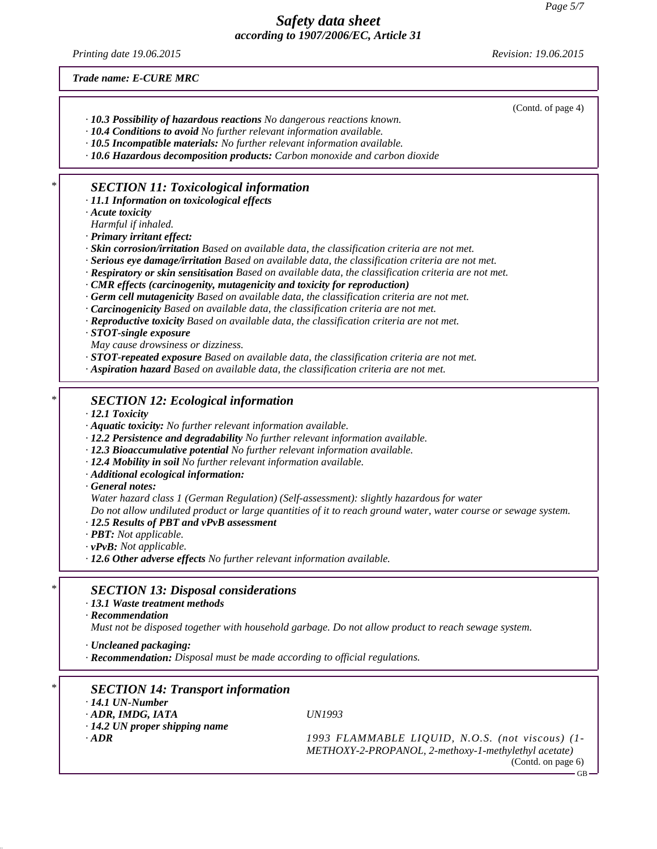*Printing date 19.06.2015 Revision: 19.06.2015*

(Contd. of page 4)

*Trade name: E-CURE MRC*

*· 10.3 Possibility of hazardous reactions No dangerous reactions known.*

*· 10.4 Conditions to avoid No further relevant information available.*

*· 10.5 Incompatible materials: No further relevant information available.*

*· 10.6 Hazardous decomposition products: Carbon monoxide and carbon dioxide*

## *\* SECTION 11: Toxicological information*

*· 11.1 Information on toxicological effects*

*· Acute toxicity*

*Harmful if inhaled.*

*· Primary irritant effect:*

*· Skin corrosion/irritation Based on available data, the classification criteria are not met.*

*· Serious eye damage/irritation Based on available data, the classification criteria are not met.*

*· Respiratory or skin sensitisation Based on available data, the classification criteria are not met.*

*· CMR effects (carcinogenity, mutagenicity and toxicity for reproduction)*

*· Germ cell mutagenicity Based on available data, the classification criteria are not met.*

*· Carcinogenicity Based on available data, the classification criteria are not met.*

*· Reproductive toxicity Based on available data, the classification criteria are not met.*

*· STOT-single exposure*

*May cause drowsiness or dizziness.*

*· STOT-repeated exposure Based on available data, the classification criteria are not met.*

*· Aspiration hazard Based on available data, the classification criteria are not met.*

## *\* SECTION 12: Ecological information*

*· 12.1 Toxicity*

*· Aquatic toxicity: No further relevant information available.*

*· 12.2 Persistence and degradability No further relevant information available.*

*· 12.3 Bioaccumulative potential No further relevant information available.*

*· 12.4 Mobility in soil No further relevant information available.*

*· Additional ecological information:*

*· General notes:*

*Water hazard class 1 (German Regulation) (Self-assessment): slightly hazardous for water*

*Do not allow undiluted product or large quantities of it to reach ground water, water course or sewage system.*

*· 12.5 Results of PBT and vPvB assessment*

*· PBT: Not applicable.*

*· vPvB: Not applicable.*

*· 12.6 Other adverse effects No further relevant information available.*

#### *\* SECTION 13: Disposal considerations*

#### *· 13.1 Waste treatment methods*

*· Recommendation*

*Must not be disposed together with household garbage. Do not allow product to reach sewage system.*

*· Uncleaned packaging:*

*· Recommendation: Disposal must be made according to official regulations.*

# *\* SECTION 14: Transport information*

*· 14.1 UN-Number · ADR, IMDG, IATA UN1993*

*· 14.2 UN proper shipping name*

*· ADR 1993 FLAMMABLE LIQUID, N.O.S. (not viscous) (1- METHOXY-2-PROPANOL, 2-methoxy-1-methylethyl acetate)* (Contd. on page 6)

GB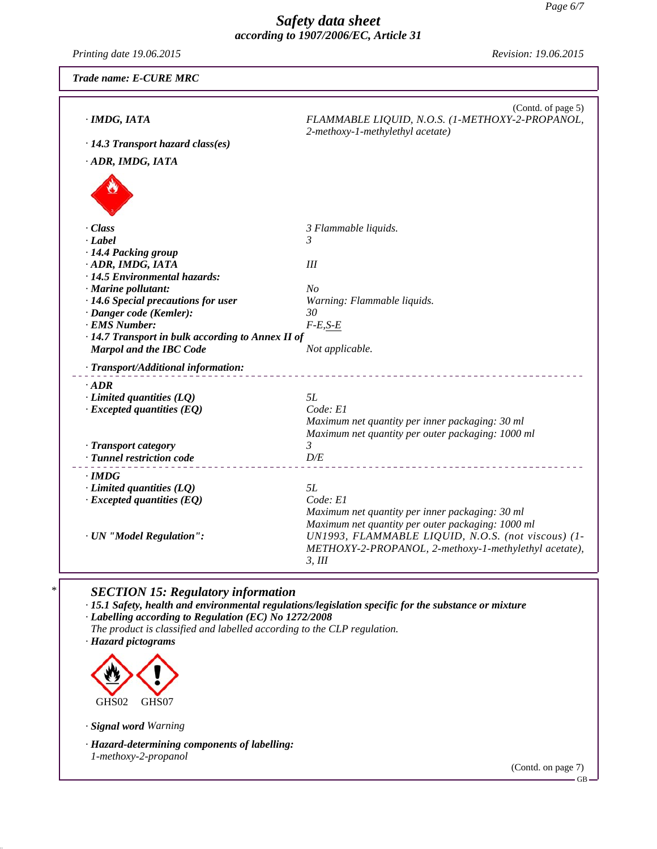*Printing date 19.06.2015 Revision: 19.06.2015*

| Trade name: E-CURE MRC                               |                                                                                                           |
|------------------------------------------------------|-----------------------------------------------------------------------------------------------------------|
| · IMDG, IATA                                         | (Contd. of page 5)<br>FLAMMABLE LIQUID, N.O.S. (1-METHOXY-2-PROPANOL,<br>2-methoxy-1-methylethyl acetate) |
| · 14.3 Transport hazard class(es)                    |                                                                                                           |
| · ADR, IMDG, IATA                                    |                                                                                                           |
|                                                      |                                                                                                           |
| · Class                                              | 3 Flammable liquids.                                                                                      |
| $-Label$                                             | 3                                                                                                         |
| · 14.4 Packing group                                 |                                                                                                           |
| · ADR, IMDG, IATA                                    | Ш                                                                                                         |
| · 14.5 Environmental hazards:<br>· Marine pollutant: | No                                                                                                        |
| · 14.6 Special precautions for user                  | Warning: Flammable liquids.                                                                               |
| · Danger code (Kemler):                              | 30                                                                                                        |
| · EMS Number:                                        | $F-E,S-E$                                                                                                 |
| · 14.7 Transport in bulk according to Annex II of    |                                                                                                           |
| <b>Marpol and the IBC Code</b>                       | Not applicable.                                                                                           |
| · Transport/Additional information:                  |                                                                                                           |
| $\cdot$ ADR                                          |                                                                                                           |
| $\cdot$ Limited quantities (LQ)                      | 5L                                                                                                        |
| $\cdot$ Excepted quantities (EQ)                     | Code: E1                                                                                                  |
|                                                      | Maximum net quantity per inner packaging: 30 ml                                                           |
| · Transport category                                 | Maximum net quantity per outer packaging: 1000 ml<br>3                                                    |
| · Tunnel restriction code                            | D/E                                                                                                       |
|                                                      |                                                                                                           |
| · IMDG<br>$\cdot$ Limited quantities (LQ)            | 5L                                                                                                        |
| $\cdot$ Excepted quantities (EQ)                     | Code: El                                                                                                  |
|                                                      | Maximum net quantity per inner packaging: 30 ml                                                           |
|                                                      | Maximum net quantity per outer packaging: 1000 ml                                                         |
| · UN "Model Regulation":                             | UN1993, FLAMMABLE LIQUID, N.O.S. (not viscous) (1-                                                        |
|                                                      | METHOXY-2-PROPANOL, 2-methoxy-1-methylethyl acetate),<br>3, III                                           |
|                                                      |                                                                                                           |
|                                                      |                                                                                                           |

## *\* SECTION 15: Regulatory information*

*· 15.1 Safety, health and environmental regulations/legislation specific for the substance or mixture*

*· Labelling according to Regulation (EC) No 1272/2008*

*The product is classified and labelled according to the CLP regulation.*

*· Hazard pictograms*



*· Signal word Warning*

*· Hazard-determining components of labelling: 1-methoxy-2-propanol*

(Contd. on page 7)

GB